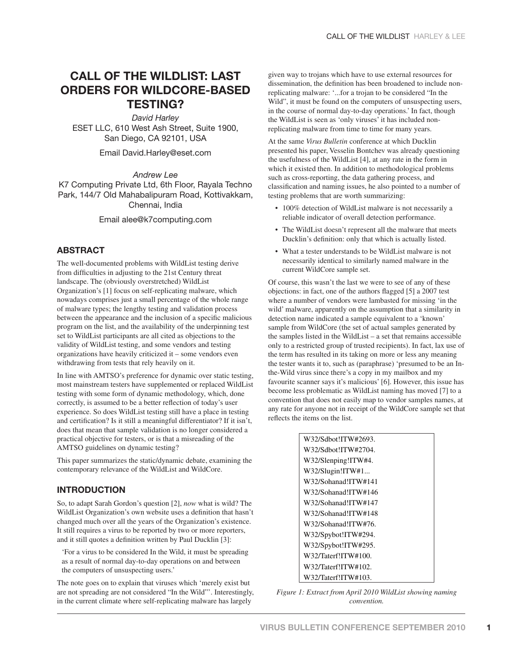# **CALL OF THE WILDLIST: LAST ORDERS FOR WILDCORE-BASED TESTING?**

*David Harley* ESET LLC, 610 West Ash Street, Suite 1900, San Diego, CA 92101, USA

Email David.Harley@eset.com

*Andrew Lee* 

K7 Computing Private Ltd, 6th Floor, Rayala Techno Park, 144/7 Old Mahabalipuram Road, Kottivakkam, Chennai, India

#### Email alee@k7computing.com

## **ABSTRACT**

The well-documented problems with WildList testing derive from difficulties in adjusting to the 21st Century threat landscape. The (obviously overstretched) WildList Organization's [1] focus on self-replicating malware, which nowadays comprises just a small percentage of the whole range of malware types; the lengthy testing and validation process between the appearance and the inclusion of a specific malicious program on the list, and the availability of the underpinning test set to WildList participants are all cited as objections to the validity of WildList testing, and some vendors and testing organizations have heavily criticized it – some vendors even withdrawing from tests that rely heavily on it.

In line with AMTSO's preference for dynamic over static testing, most mainstream testers have supplemented or replaced WildList testing with some form of dynamic methodology, which, done correctly, is assumed to be a better reflection of today's user experience. So does WildList testing still have a place in testing and certification? Is it still a meaningful differentiator? If it isn't, does that mean that sample validation is no longer considered a practical objective for testers, or is that a misreading of the AMTSO guidelines on dynamic testing?

This paper summarizes the static/dynamic debate, examining the contemporary relevance of the WildList and WildCore.

## **INTRODUCTION**

So, to adapt Sarah Gordon's question [2], *now* what is wild? The WildList Organization's own website uses a definition that hasn't changed much over all the years of the Organization's existence. It still requires a virus to be reported by two or more reporters, and it still quotes a definition written by Paul Ducklin [3]:

'For a virus to be considered In the Wild, it must be spreading as a result of normal day-to-day operations on and between the computers of unsuspecting users.'

The note goes on to explain that viruses which 'merely exist but are not spreading are not considered "In the Wild"'. Interestingly, in the current climate where self-replicating malware has largely

given way to trojans which have to use external resources for dissemination, the definition has been broadened to include nonreplicating malware: '...for a trojan to be considered "In the Wild", it must be found on the computers of unsuspecting users, in the course of normal day-to-day operations.' In fact, though the WildList is seen as 'only viruses' it has included nonreplicating malware from time to time for many years.

At the same *Virus Bulletin* conference at which Ducklin presented his paper, Vesselin Bontchev was already questioning the usefulness of the WildList [4], at any rate in the form in which it existed then. In addition to methodological problems such as cross-reporting, the data gathering process, and classification and naming issues, he also pointed to a number of testing problems that are worth summarizing:

- 100% detection of WildList malware is not necessarily a reliable indicator of overall detection performance.
- The WildList doesn't represent all the malware that meets Ducklin's definition: only that which is actually listed.
- What a tester understands to be WildList malware is not necessarily identical to similarly named malware in the current WildCore sample set.

Of course, this wasn't the last we were to see of any of these objections: in fact, one of the authors flagged [5] a 2007 test where a number of vendors were lambasted for missing 'in the wild' malware, apparently on the assumption that a similarity in detection name indicated a sample equivalent to a 'known' sample from WildCore (the set of actual samples generated by the samples listed in the WildList – a set that remains accessible only to a restricted group of trusted recipients). In fact, lax use of the term has resulted in its taking on more or less any meaning the tester wants it to, such as (paraphrase) 'presumed to be an Inthe-Wild virus since there's a copy in my mailbox and my favourite scanner says it's malicious' [6]. However, this issue has become less problematic as WildList naming has moved [7] to a convention that does not easily map to vendor samples names, at any rate for anyone not in receipt of the WildCore sample set that reflects the items on the list.

| W32/Sdbot!ITW#2693. |  |
|---------------------|--|
| W32/Sdbot!ITW#2704. |  |
| W32/Slenping!ITW#4. |  |
| W32/Slugin!ITW#1    |  |
| W32/Sohanad!ITW#141 |  |
| W32/Sohanad!ITW#146 |  |
| W32/Sohanad!ITW#147 |  |
| W32/Sohanad!ITW#148 |  |
| W32/Sohanad!ITW#76. |  |
| W32/Spybot!ITW#294. |  |
| W32/Spybot!ITW#295. |  |
| W32/Taterf!ITW#100. |  |
| W32/Taterf!ITW#102. |  |
| W32/Taterf!ITW#103. |  |

*Figure 1: Extract from April 2010 WildList showing naming convention.*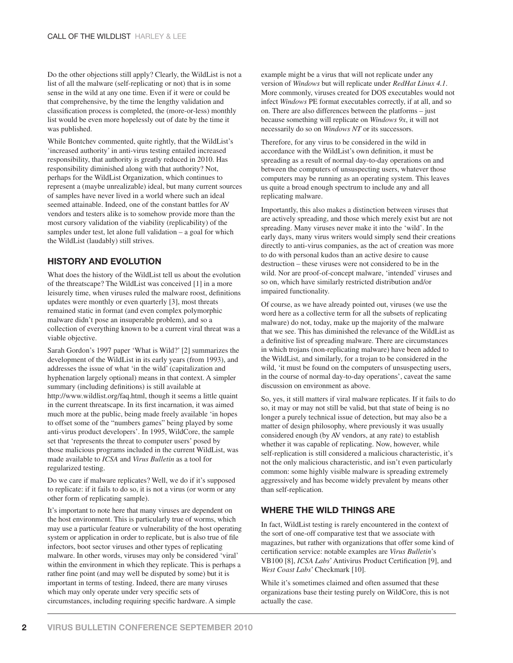Do the other objections still apply? Clearly, the WildList is not a list of all the malware (self-replicating or not) that is in some sense in the wild at any one time. Even if it were or could be that comprehensive, by the time the lengthy validation and classification process is completed, the (more-or-less) monthly list would be even more hopelessly out of date by the time it was published.

While Bontchev commented, quite rightly, that the WildList's 'increased authority' in anti-virus testing entailed increased responsibility, that authority is greatly reduced in 2010. Has responsibility diminished along with that authority? Not, perhaps for the WildList Organization, which continues to represent a (maybe unrealizable) ideal, but many current sources of samples have never lived in a world where such an ideal seemed attainable. Indeed, one of the constant battles for AV vendors and testers alike is to somehow provide more than the most cursory validation of the viability (replicability) of the samples under test, let alone full validation – a goal for which the WildList (laudably) still strives.

## **HISTORY AND EVOLUTION**

What does the history of the WildList tell us about the evolution of the threatscape? The WildList was conceived [1] in a more leisurely time, when viruses ruled the malware roost, definitions updates were monthly or even quarterly [3], most threats remained static in format (and even complex polymorphic malware didn't pose an insuperable problem), and so a collection of everything known to be a current viral threat was a viable objective.

Sarah Gordon's 1997 paper 'What is Wild?' [2] summarizes the development of the WildList in its early years (from 1993), and addresses the issue of what 'in the wild' (capitalization and hyphenation largely optional) means in that context. A simpler summary (including definitions) is still available at http://www.wildlist.org/faq.html, though it seems a little quaint in the current threatscape. In its first incarnation, it was aimed much more at the public, being made freely available 'in hopes to offset some of the "numbers games" being played by some anti-virus product developers'. In 1995, WildCore, the sample set that 'represents the threat to computer users' posed by those malicious programs included in the current WildList, was made available to *ICSA* and *Virus Bulletin* as a tool for regularized testing.

Do we care if malware replicates? Well, we do if it's supposed to replicate: if it fails to do so, it is not a virus (or worm or any other form of replicating sample).

It's important to note here that many viruses are dependent on the host environment. This is particularly true of worms, which may use a particular feature or vulnerability of the host operating system or application in order to replicate, but is also true of file infectors, boot sector viruses and other types of replicating malware. In other words, viruses may only be considered 'viral' within the environment in which they replicate. This is perhaps a rather fine point (and may well be disputed by some) but it is important in terms of testing. Indeed, there are many viruses which may only operate under very specific sets of circumstances, including requiring specific hardware. A simple

example might be a virus that will not replicate under any version of *Windows* but will replicate under *RedHat Linux 4.1*. More commonly, viruses created for DOS executables would not infect *Windows* PE format executables correctly, if at all, and so on. There are also differences between the platforms – just because something will replicate on *Windows 9x*, it will not necessarily do so on *Windows NT* or its successors.

Therefore, for any virus to be considered in the wild in accordance with the WildList's own definition, it must be spreading as a result of normal day-to-day operations on and between the computers of unsuspecting users, whatever those computers may be running as an operating system. This leaves us quite a broad enough spectrum to include any and all replicating malware.

Importantly, this also makes a distinction between viruses that are actively spreading, and those which merely exist but are not spreading. Many viruses never make it into the 'wild'. In the early days, many virus writers would simply send their creations directly to anti-virus companies, as the act of creation was more to do with personal kudos than an active desire to cause destruction – these viruses were not considered to be in the wild. Nor are proof-of-concept malware, 'intended' viruses and so on, which have similarly restricted distribution and/or impaired functionality.

Of course, as we have already pointed out, viruses (we use the word here as a collective term for all the subsets of replicating malware) do not, today, make up the majority of the malware that we see. This has diminished the relevance of the WildList as a definitive list of spreading malware. There are circumstances in which trojans (non-replicating malware) have been added to the WildList, and similarly, for a trojan to be considered in the wild, 'it must be found on the computers of unsuspecting users, in the course of normal day-to-day operations', caveat the same discussion on environment as above.

So, yes, it still matters if viral malware replicates. If it fails to do so, it may or may not still be valid, but that state of being is no longer a purely technical issue of detection, but may also be a matter of design philosophy, where previously it was usually considered enough (by AV vendors, at any rate) to establish whether it was capable of replicating. Now, however, while self-replication is still considered a malicious characteristic, it's not the only malicious characteristic, and isn't even particularly common: some highly visible malware is spreading extremely aggressively and has become widely prevalent by means other than self-replication.

## **WHERE THE WILD THINGS ARE**

In fact, WildList testing is rarely encountered in the context of the sort of one-off comparative test that we associate with magazines, but rather with organizations that offer some kind of certification service: notable examples are *Virus Bulletin's* VB100 [8], *ICSA Labs*' Antivirus Product Certification [9], and *West Coast Labs*' Checkmark [10].

While it's sometimes claimed and often assumed that these organizations base their testing purely on WildCore, this is not actually the case.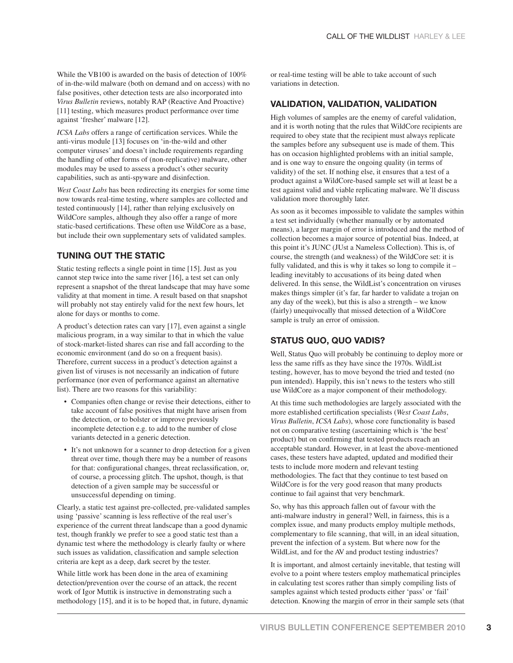While the VB100 is awarded on the basis of detection of 100% of in-the-wild malware (both on demand and on access) with no false positives, other detection tests are also incorporated into *Virus Bulletin* reviews, notably RAP (Reactive And Proactive) [11] testing, which measures product performance over time against 'fresher' malware [12].

*ICSA Labs* offers a range of certification services. While the anti-virus module [13] focuses on 'in-the-wild and other computer viruses' and doesn't include requirements regarding the handling of other forms of (non-replicative) malware, other modules may be used to assess a product's other security capabilities, such as anti-spyware and disinfection.

*West Coast Labs* has been redirecting its energies for some time now towards real-time testing, where samples are collected and tested continuously [14], rather than relying exclusively on WildCore samples, although they also offer a range of more static-based certifications. These often use WildCore as a base, but include their own supplementary sets of validated samples.

## **TUNING OUT THE STATIC**

Static testing reflects a single point in time [15]. Just as you cannot step twice into the same river [16], a test set can only represent a snapshot of the threat landscape that may have some validity at that moment in time. A result based on that snapshot will probably not stay entirely valid for the next few hours, let alone for days or months to come.

A product's detection rates can vary [17], even against a single malicious program, in a way similar to that in which the value of stock-market-listed shares can rise and fall according to the economic environment (and do so on a frequent basis). Therefore, current success in a product's detection against a given list of viruses is not necessarily an indication of future performance (nor even of performance against an alternative list). There are two reasons for this variability:

- Companies often change or revise their detections, either to take account of false positives that might have arisen from the detection, or to bolster or improve previously incomplete detection e.g. to add to the number of close variants detected in a generic detection.
- It's not unknown for a scanner to drop detection for a given threat over time, though there may be a number of reasons for that: configurational changes, threat reclassification, or, of course, a processing glitch. The upshot, though, is that detection of a given sample may be successful or unsuccessful depending on timing.

Clearly, a static test against pre-collected, pre-validated samples using 'passive' scanning is less reflective of the real user's experience of the current threat landscape than a good dynamic test, though frankly we prefer to see a good static test than a dynamic test where the methodology is clearly faulty or where such issues as validation, classification and sample selection criteria are kept as a deep, dark secret by the tester.

While little work has been done in the area of examining detection/prevention over the course of an attack, the recent work of Igor Muttik is instructive in demonstrating such a methodology [15], and it is to be hoped that, in future, dynamic or real-time testing will be able to take account of such variations in detection.

#### **VALIDATION, VALIDATION, VALIDATION**

High volumes of samples are the enemy of careful validation, and it is worth noting that the rules that WildCore recipients are required to obey state that the recipient must always replicate the samples before any subsequent use is made of them. This has on occasion highlighted problems with an initial sample, and is one way to ensure the ongoing quality (in terms of validity) of the set. If nothing else, it ensures that a test of a product against a WildCore-based sample set will at least be a test against valid and viable replicating malware. We'll discuss validation more thoroughly later.

As soon as it becomes impossible to validate the samples within a test set individually (whether manually or by automated means), a larger margin of error is introduced and the method of collection becomes a major source of potential bias. Indeed, at this point it's JUNC (JUst a Nameless Collection). This is, of course, the strength (and weakness) of the WildCore set: it is fully validated, and this is why it takes so long to compile it – leading inevitably to accusations of its being dated when delivered. In this sense, the WildList's concentration on viruses makes things simpler (it's far, far harder to validate a trojan on any day of the week), but this is also a strength – we know (fairly) unequivocally that missed detection of a WildCore sample is truly an error of omission.

## **STATUS QUO, QUO VADIS?**

Well, Status Quo will probably be continuing to deploy more or less the same riffs as they have since the 1970s. WildList testing, however, has to move beyond the tried and tested (no pun intended). Happily, this isn't news to the testers who still use WildCore as a major component of their methodology.

At this time such methodologies are largely associated with the more established certification specialists (*West Coast Labs*, *Virus Bulletin*, *ICSA Labs*), whose core functionality is based not on comparative testing (ascertaining which is 'the best' product) but on confirming that tested products reach an acceptable standard. However, in at least the above-mentioned cases, these testers have adapted, updated and modified their tests to include more modern and relevant testing methodologies. The fact that they continue to test based on WildCore is for the very good reason that many products continue to fail against that very benchmark.

So, why has this approach fallen out of favour with the anti-malware industry in general? Well, in fairness, this is a complex issue, and many products employ multiple methods, complementary to file scanning, that will, in an ideal situation, prevent the infection of a system. But where now for the WildList, and for the AV and product testing industries?

It is important, and almost certainly inevitable, that testing will evolve to a point where testers employ mathematical principles in calculating test scores rather than simply compiling lists of samples against which tested products either 'pass' or 'fail' detection. Knowing the margin of error in their sample sets (that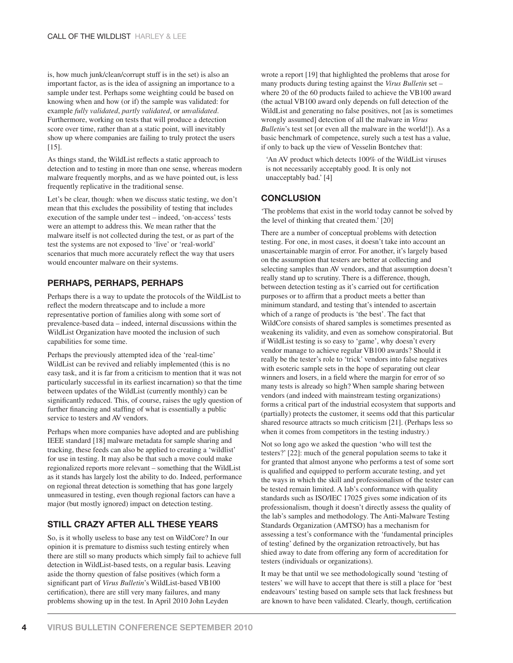is, how much junk/clean/corrupt stuff is in the set) is also an important factor, as is the idea of assigning an importance to a sample under test. Perhaps some weighting could be based on knowing when and how (or if) the sample was validated: for example *fully validated*, *partly validated*, or *unvalidated*. Furthermore, working on tests that will produce a detection score over time, rather than at a static point, will inevitably show up where companies are failing to truly protect the users [15].

As things stand, the WildList reflects a static approach to detection and to testing in more than one sense, whereas modern malware frequently morphs, and as we have pointed out, is less frequently replicative in the traditional sense.

Let's be clear, though: when we discuss static testing, we don't mean that this excludes the possibility of testing that includes execution of the sample under test – indeed, 'on-access' tests were an attempt to address this. We mean rather that the malware itself is not collected during the test, or as part of the test the systems are not exposed to 'live' or 'real-world' scenarios that much more accurately reflect the way that users would encounter malware on their systems.

## **PERHAPS, PERHAPS, PERHAPS**

Perhaps there is a way to update the protocols of the WildList to reflect the modern threatscape and to include a more representative portion of families along with some sort of prevalence-based data – indeed, internal discussions within the WildList Organization have mooted the inclusion of such capabilities for some time.

Perhaps the previously attempted idea of the 'real-time' WildList can be revived and reliably implemented (this is no easy task, and it is far from a criticism to mention that it was not particularly successful in its earliest incarnation) so that the time between updates of the WildList (currently monthly) can be significantly reduced. This, of course, raises the ugly question of further financing and staffing of what is essentially a public service to testers and AV vendors.

Perhaps when more companies have adopted and are publishing IEEE standard [18] malware metadata for sample sharing and tracking, these feeds can also be applied to creating a 'wildlist' for use in testing. It may also be that such a move could make regionalized reports more relevant – something that the WildList as it stands has largely lost the ability to do. Indeed, performance on regional threat detection is something that has gone largely unmeasured in testing, even though regional factors can have a major (but mostly ignored) impact on detection testing.

# **STILL CRAZY AFTER ALL THESE YEARS**

So, is it wholly useless to base any test on WildCore? In our opinion it is premature to dismiss such testing entirely when there are still so many products which simply fail to achieve full detection in WildList-based tests, on a regular basis. Leaving aside the thorny question of false positives (which form a significant part of *Virus Bulletin's* WildList-based VB100 certification), there are still very many failures, and many problems showing up in the test. In April 2010 John Leyden

wrote a report [19] that highlighted the problems that arose for many products during testing against the *Virus Bulletin* set – where 20 of the 60 products failed to achieve the VB100 award (the actual VB100 award only depends on full detection of the WildList and generating no false positives, not [as is sometimes wrongly assumed] detection of all the malware in *Virus Bulletin*'s test set [or even all the malware in the world!]). As a basic benchmark of competence, surely such a test has a value, if only to back up the view of Vesselin Bontchev that:

'An AV product which detects 100% of the WildList viruses is not necessarily acceptably good. It is only not unacceptably bad.' [4]

## **CONCLUSION**

'The problems that exist in the world today cannot be solved by the level of thinking that created them.' [20]

There are a number of conceptual problems with detection testing. For one, in most cases, it doesn't take into account an unascertainable margin of error. For another, it's largely based on the assumption that testers are better at collecting and selecting samples than AV vendors, and that assumption doesn't really stand up to scrutiny. There is a difference, though, between detection testing as it's carried out for certification purposes or to affirm that a product meets a better than minimum standard, and testing that's intended to ascertain which of a range of products is 'the best'. The fact that WildCore consists of shared samples is sometimes presented as weakening its validity, and even as somehow conspiratorial. But if WildList testing is so easy to 'game', why doesn't every vendor manage to achieve regular VB100 awards? Should it really be the tester's role to 'trick' vendors into false negatives with esoteric sample sets in the hope of separating out clear winners and losers, in a field where the margin for error of so many tests is already so high? When sample sharing between vendors (and indeed with mainstream testing organizations) forms a critical part of the industrial ecosystem that supports and (partially) protects the customer, it seems odd that this particular shared resource attracts so much criticism [21]. (Perhaps less so when it comes from competitors in the testing industry.)

Not so long ago we asked the question 'who will test the testers?' [22]: much of the general population seems to take it for granted that almost anyone who performs a test of some sort is qualified and equipped to perform accurate testing, and yet the ways in which the skill and professionalism of the tester can be tested remain limited. A lab's conformance with quality standards such as ISO/IEC 17025 gives some indication of its professionalism, though it doesn't directly assess the quality of the lab's samples and methodology. The Anti-Malware Testing Standards Organization (AMTSO) has a mechanism for assessing a test's conformance with the 'fundamental principles of testing' defined by the organization retroactively, but has shied away to date from offering any form of accreditation for testers (individuals or organizations).

It may be that until we see methodologically sound 'testing of testers' we will have to accept that there is still a place for 'best endeavours' testing based on sample sets that lack freshness but are known to have been validated. Clearly, though, certification